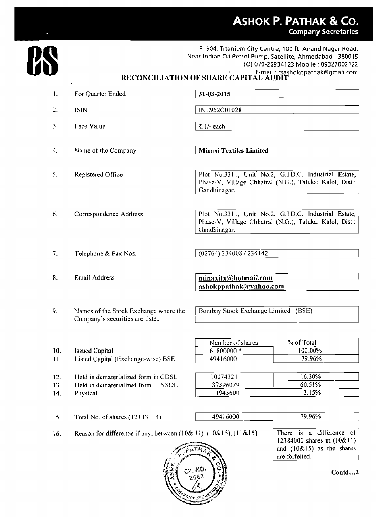## **ASHOK P. PATHAK & CO. Company Secretaries**



F- 904, Titanium City Centre, 100 ft. Anand Nagar Road, Near Indian Oil **Petrol Pump, Satellite, Ahmedabad** - **38007 5**  (0) **079-269341** 23 Mobile : **09327002 <sup>122</sup>** E-mail : **csashokppathak@gmail.com RECON CI LI AI'ION OF SHARE CAPITAL AUDIT** 

1. For **Quarter Ended**   $31 - 03 - 2015$ 2. **ISlN** I INE952C0 **1028** <sup>I</sup> **securities are listed** 1 1 **3.** Face **Value** I **7. I/-** each <sup>I</sup> **Minaxi Textiles Limited 4. Name of the Company** Plot No.3311, Unit No.2, G.I.D.C. Industrial Estate, 5. **Registered** Office <sup>I</sup>Phasc-V, **Village Chhatral (N.G.), Taluka: Kalol, Dist.:** <sup>I</sup> Plot No.3311, Unit No.2, G.I.D.C. Industrial Estate, **6. Correspondence Address Phase-V, Village Chl~atral** *(N.G.),* **Tatuka: Kalol,** Dist.: Gandhinagar. **7. Telephone** & **Fax** Nos. **8.** Email Address 9. Names **of the Stock Exchangc** where **the** 1 **Bombay Stock** Exchange **Limited (BSE) Company's**  % of Total Number of shares **10. Issued Capital**  *6* **1 800000** \* **<sup>I</sup>**1. **Listed Capital** (Exchange-wise) **BSE 494 1hfln0**  79.96% 12. **Held in dematerialized form in CDSL** 13. **Held in dematerialized from** NSDL 1945600 14. **Physical**  79.96% 15. Total No. of shares  $(12+13+14)$ 49416000 There is a difference of 16. **Reason for difference if any, between** (10& 11), (10&15), (11&15) **12384000 shares in** (10&1 **1)**  and **(10&15) as the shares** 



**Contd.. .2**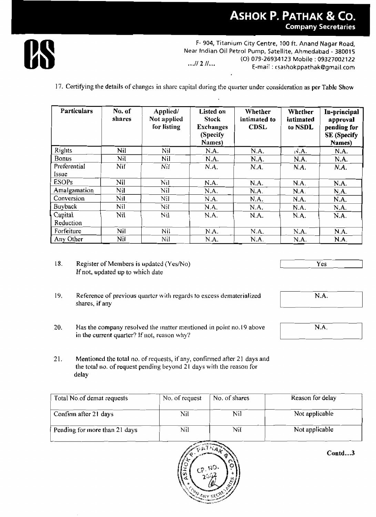

F- 904, Titanium City Centre, 100 ft. Anand Nagar Road, Near Indian Oil Petrol Pump, Satellite, Ahmedabad - 380015 (O) 079-26934123 Mobile: 09327002122  $...$ //  $2$  // $...$ E-mail: csashokppathak@gmail.com

17. Certifying the details of changes in share capital during the quarter under consideration as per Table Show

| <b>Particulars</b>  | No. of<br>shares | Applied/<br>Not applied<br>for listing | <b>Listed on</b><br><b>Stock</b><br><b>Exchanges</b><br>(Specify<br>Names) | Whether<br>intimated to<br><b>CDSL</b> | Whether<br>intimated<br>to NSDL | In-principal<br>approval<br>pending for<br><b>SE</b> (Specify<br>Names) |
|---------------------|------------------|----------------------------------------|----------------------------------------------------------------------------|----------------------------------------|---------------------------------|-------------------------------------------------------------------------|
| Rights              | Nil              | Nil                                    | N.A.                                                                       | N.A.                                   | NA.                             | N.A.                                                                    |
| <b>Bonus</b>        | Nil              | Nil                                    | N.A.                                                                       | N.A.                                   | N.A.                            | N.A.                                                                    |
| Preferential        | Nil              | Nif                                    | N.A.                                                                       | N.A.                                   | N.A.                            | N.A.                                                                    |
| Issue               |                  |                                        |                                                                            |                                        |                                 |                                                                         |
| <b>ESOPs</b>        | Nil              | Nil                                    | N.A.                                                                       | N.A.                                   | N.A.                            | N.A.                                                                    |
| <b>Amalgamation</b> | Nil              | Nil                                    | N.A.                                                                       | N.A.                                   | N.A.                            | N.A.                                                                    |
| Conversion          | Nil              | Nil                                    | N.A.                                                                       | N.A.                                   | N.A.                            | N.A.                                                                    |
| <b>Buyback</b>      | Nil              | Nil                                    | N.A.                                                                       | N.A.                                   | N.A.                            | N.A.                                                                    |
| Capital             | Nil              | Nil                                    | N.A.                                                                       | N.A.                                   | N.A.                            | N.A.                                                                    |
| Reduction           |                  |                                        |                                                                            |                                        |                                 |                                                                         |
| Forfeiture          | Nil              | Nil                                    | N.A.                                                                       | N.A.                                   | N.A.                            | N.A.                                                                    |
| Any Other           | Nil              | Nil                                    | N.A.                                                                       | N.A.                                   | N.A.                            | N.A.                                                                    |

- $18.$ Register of Members is updated (Yes/No) If not, updated up to which date
- 19. Reference of previous quarter with regards to excess dematerialized shares, if any
- 20. Has the company resolved the matter mentioned in point no.19 above in the current quarter? If not, reason why?

21. Mentioned the total no. of requests, if any, confirmed after 21 days and the total no. of request pending beyond 21 days with the reason for delay

| Total No.of demat requests    | No. of request | No. of shares | Reason for delay |
|-------------------------------|----------------|---------------|------------------|
| Confirm after 21 days         | Nil            | Nil           | Not applicable   |
| Pending for more than 21 days | Nil            | Nil           | Not applicable   |



Contd...3

Yes

N.A.

 $\overline{\text{N.A.}}$